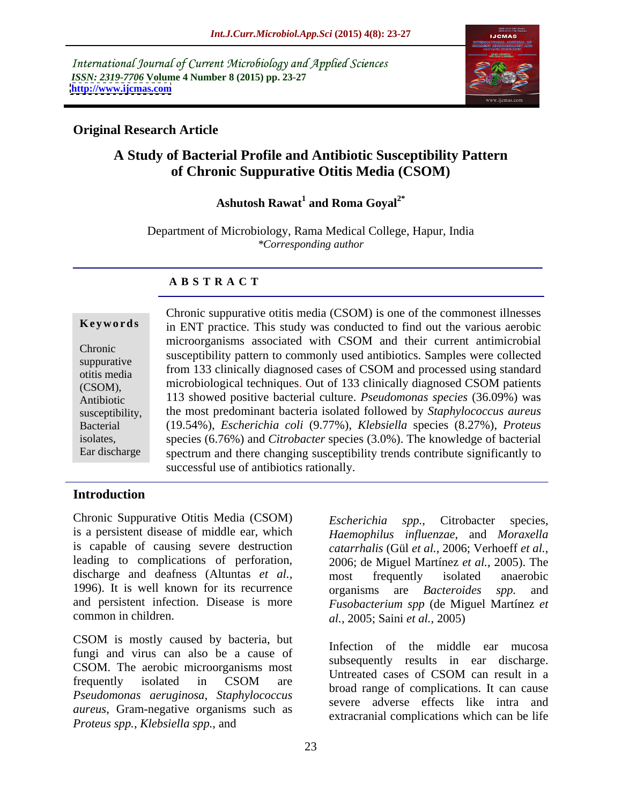International Journal of Current Microbiology and Applied Sciences *ISSN: 2319-7706* **Volume 4 Number 8 (2015) pp. 23-27 <http://www.ijcmas.com>**



# **Original Research Article**

# **A Study of Bacterial Profile and Antibiotic Susceptibility Pattern of Chronic Suppurative Otitis Media (CSOM)**

### Ashutosh Rawat<sup>1</sup> and Roma Goyal<sup>2\*</sup> **and Roma Goyal2\***

Department of Microbiology, Rama Medical College, Hapur, India *\*Corresponding author*

### **A B S T R A C T**

Ear discharge

Chronic suppurative otitis media (CSOM) is one of the commonest illnesses **Keywords** in ENT practice. This study was conducted to find out the various aerobic microorganisms associated with CSOM and their current antimicrobial susceptibility pattern to commonly used antibiotics. Samples were collected Chronic suppurative<br>
from 133 clinically diagnosed cases of CSOM and processed using standard microbiological techniques.Out of 133 clinically diagnosed CSOM patients (CSOM), 113 showed positive bacterial culture. *Pseudomonas species* (36.09%) was Antibiotic susceptibility, the most predominant bacteria isolated followed by *Staphylococcus aureus* (19.54%), *Escherichia coli* (9.77%), *Klebsiella* species (8.27%), *Proteus* Bacterial species (6.76%) and *Citrobacter* species (3.0%). The knowledge of bacterial isolates, spectrum and there changing susceptibility trends contribute significantly to successful use of antibiotics rationally. otitis media and the contract of the contract of the contract of the contract of the contract of the contract of the contract of the contract of the contract of the contract of the contract of the contract of the contract

## **Introduction**

Chronic Suppurative Otitis Media (CSOM) Escherichia spp., Citrobacter species, is a persistent disease of middle ear, which *Haemophilus influenzae*, and *Moraxella* is capable of causing severe destruction leading to complications of perforation, discharge and deafness (Altuntas *et al.*, most frequently isolated anaerobic 1996). It is well known for its recurrence organisms are *Bacteroides* spp. and and persistent infection. Disease is more

CSOM is mostly caused by bacteria, but<br>Infection of the middle early museum fungi and virus can also be a cause of CSOM. The aerobic microorganisms most<br>Untreated cases of CSOM can result in a frequently isolated in CSOM are broad price of complications It can equal *Pseudomonas aeruginosa*, *Staphylococcus aureus*, Gram-negative organisms such as *Proteus spp.*, *Klebsiella spp.*, and

common in children. *al.,* 2005; Saini *et al.,* 2005) *Escherichia spp.*, Citrobacter species, *catarrhalis* (Gül *et al.,* 2006; Verhoeff *et al.,* 2006; de Miguel Martínez *et al.,* 2005). The most frequently isolated anaerobic organisms are *Bacteroides spp.* and *Fusobacterium spp* (de Miguel Martínez *et* 

> Infection of the middle ear mucosa subsequently results in ear discharge. Untreated cases of CSOM can result in a broad range of complications. It can cause severe adverse effects like intra and extracranial complications which can be life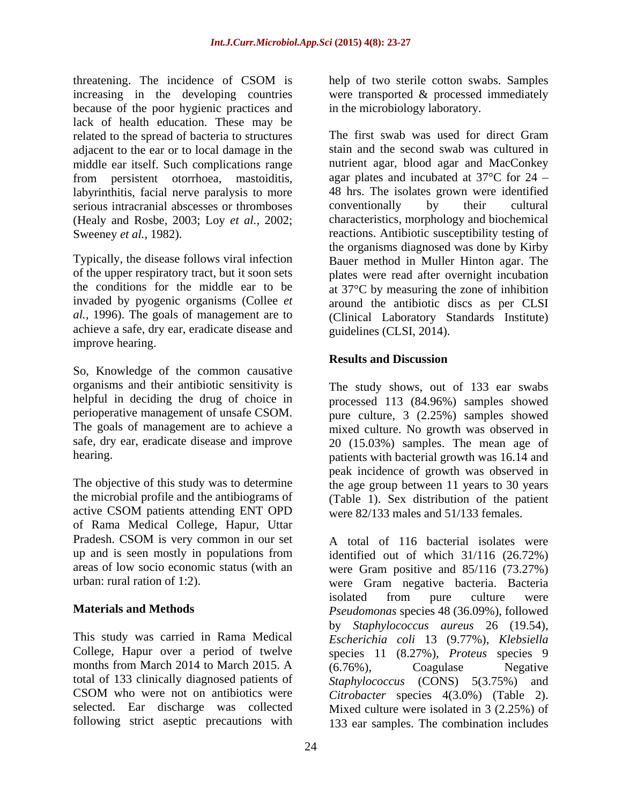threatening. The incidence of CSOM is belp of two sterile cotton swabs. Samples increasing in the developing countries were transported & processed immediately because of the poor hygienic practices and lack of health education. These may be<br>
related to the spread of bacteria to structures<br>
The first swab was used for direct Gram related to the spread of bacteria to structures adjacent to the ear or to local damage in the middle ear itself. Such complications range labyrinthitis, facial nerve paralysis to more serious intracranial abscesses or thromboses conventionally by their cultural (Healy and Rosbe, 2003; Loy *et al.,* 2002;

invaded by pyogenic organisms (Collee *et al.,* 1996). The goals of management are to achieve a safe, dry ear, eradicate disease and improve hearing.

So, Knowledge of the common causative organisms and their antibiotic sensitivity is The study shows, out of 133 ear swabs

active CSOM patients attending ENT OPD of Rama Medical College, Hapur, Uttar Pradesh. CSOM is very common in our set up and is seen mostly in populations from

months from March 2014 to March 2015. A (6.76%), Coagulase Negative

help of two sterile cotton swabs. Samples in the microbiology laboratory.

from persistent otorrhoea, mastoiditis, agar plates and incubated at  $37^{\circ}$ C for  $24$  – Sweeney *et al.*, 1982). reactions. Antibiotic susceptibility testing of Typically, the disease follows viral infection Bauer method in Muller Hinton agar. The of the upper respiratory tract, but it soon sets plates were read after overnight incubation the conditions for the middle ear to be at 37°C by measuring the zone of inhibition The first swab was used for direct Gram stain and the second swab was cultured in nutrient agar, blood agar and MacConkey 48 hrs. The isolates grown were identified conventionally by their cultural characteristics, morphology and biochemical the organisms diagnosed was done by Kirby around the antibiotic discs as per CLSI (Clinical Laboratory Standards Institute) guidelines (CLSI, 2014).

# **Results and Discussion**

helpful in deciding the drug of choice in processed 113 (84.96%) samples showed perioperative management of unsafe CSOM. pure culture, 3 (2.25%) samples showed The goals of management are to achieve a mixed culture. No growth was observed in safe, dry ear, eradicate disease and improve 20 (15.03%) samples. The mean age of hearing. **patients** with bacterial growth was 16.14 and The objective of this study was to determine the age group between 11 years to 30 years the microbial profile and the antibiograms of (Table 1). Sex distribution of the patient peak incidence of growth was observed in were 82/133 males and 51/133 females.

areas of low socio economic status (with an were Gram positive and 85/116 (73.27%) urban: rural ration of 1:2). were Gram negative bacteria. Bacteria **Materials and Methods** *Pseudomonas* species 48 (36.09%), followed This study was carried in Rama Medical *Escherichia coli* 13 (9.77%), *Klebsiella* College, Hapur over a period of twelve species 11 (8.27%), *Proteus* species 9 total of 133 clinically diagnosed patients of *Staphylococcus* (CONS) 5(3.75%) and CSOM who were not on antibiotics were *Citrobacter* species 4(3.0%) (Table 2). selected. Ear discharge was collected Mixed culture were isolated in 3 (2.25%) of following strict aseptic precautions with 133 ear samples. The combination includesA total of 116 bacterial isolates were identified out of which 31/116 (26.72%) isolated from pure culture were by *Staphylococcus aureus* 26 (19.54), (6.76%), Coagulase Negative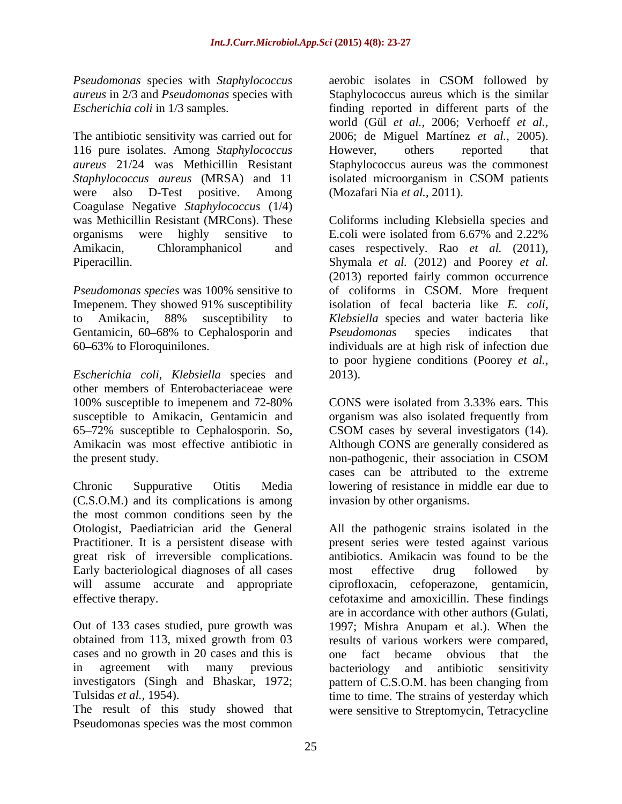*Pseudomonas* species with *Staphylococcus* 

The antibiotic sensitivity was carried out for 2006; de Miguel Martínez *et al.,* 2005). 116 pure isolates. Among *Staphylococcus aureus* 21/24 was Methicillin Resistant Staphylococcus aureus wasthe commonest *Staphylococcus aureus* (MRSA) and 11 were also D-Test positive. Among (Mozafari Nia et al., 2011). Coagulase Negative *Staphylococcus* (1/4) organisms were highly sensitive to E.coli were isolated from 6.67% and 2.22%

Gentamicin, 60–68% to Cephalosporin and Pseudomonas species indicates that

*Escherichia coli*, *Klebsiella* species and other members of Enterobacteriaceae were susceptible to Amikacin, Gentamicin and 65 72% susceptible to Cephalosporin. So, the present study. non-pathogenic, their association in CSOM

Chronic Suppurative Otitis Media lowering of resistance in middle ear due to (C.S.O.M.) and its complications is among the most common conditions seen by the Practitioner. It is a persistent disease with great risk of irreversible complications. Early bacteriological diagnoses of all cases a most effective drug followed by will assume accurate and appropriate ciprofloxacin, cefoperazone, gentamicin,

cases and no growth in 20 cases and this is one fact became obvious that the investigators (Singh and Bhaskar, 1972; pattern of C.S.O.M. has been changing from

The result of this study showed that were sensitive to Streptomycin, Tetracycline Pseudomonas species was the most common

*aureus* in 2/3 and *Pseudomonas* species with Staphylococcus aureus which is the similar *Escherichia coli* in 1/3 samples*.* finding reported in different parts of the aerobic isolates in CSOM followed by world (Gül *et al.,* 2006; Verhoeff *et al.,* However, others reported that isolated microorganism in CSOM patients (Mozafari Nia *et al.,* 2011).

was Methicillin Resistant (MRCons). These Coliforms including Klebsiella species and Amikacin, Chloramphanicol and cases respectively. Rao *et al.* (2011), Piperacillin. Shymala *et al.* (2012) and Poorey *et al. Pseudomonas species* was 100% sensitive to of coliforms in CSOM. More frequent Imepenem. They showed 91% susceptibility isolation of fecal bacteria like *E. coli*, to Amikacin, 88% susceptibility to *Klebsiella* species and water bacteria like 60 63% to Floroquinilones. individuals are at high risk of infection due E.coli were isolated from 6.67% and 2.22% (2013) reported fairly common occurrence *Pseudomonas* species indicates that to poor hygiene conditions (Poorey *et al.,* 2013).

100% susceptible to imepenem and 72-80% CONS were isolated from 3.33% ears. This Amikacin was most effective antibiotic in Although CONS are generally considered as organism was also isolated frequently from CSOM cases by several investigators (14). non-pathogenic, their association in CSOM cases can be attributed to the extreme invasion by other organisms.

Otologist, Paediatrician arid the General All the pathogenic strains isolated in the effective therapy. cefotaxime and amoxicillin. These findings Out of 133 cases studied, pure growth was 1997; Mishra Anupam et al.). When the obtained from 113, mixed growth from 03 results of various workers were compared, in agreement with many previous bacteriology and antibiotic sensitivity Tulsidas *et al.*, 1954). time to time. The strains of yesterday which present series were tested against various antibiotics. Amikacin was found to be the most effective drug followed by ciprofloxacin, cefoperazone, are in accordance with other authors (Gulati, one fact became obvious bacteriology and antibiotic sensitivity pattern of C.S.O.M. has been changing from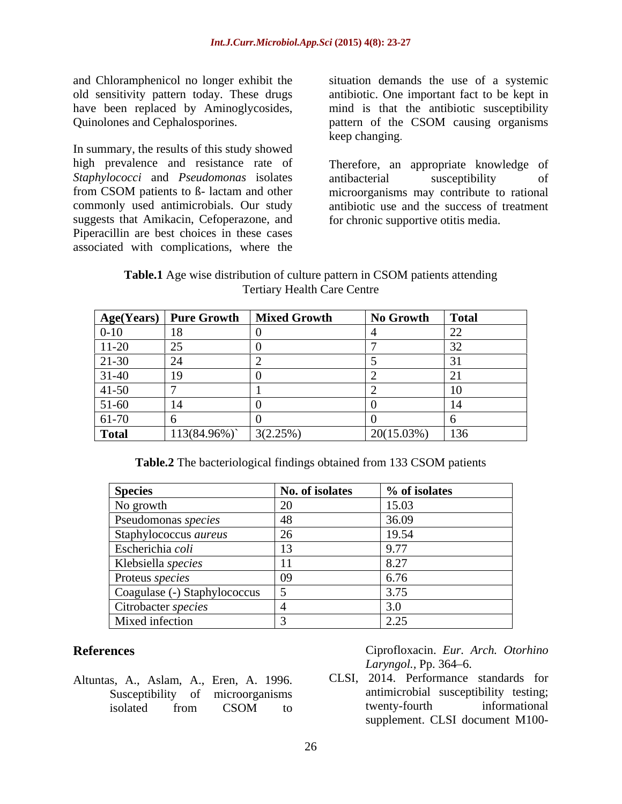and Chloramphenicol no longer exhibit the situation demands the use of a systemic old sensitivity pattern today. These drugs have been replaced by Aminoglycosides, mind is that the antibiotic susceptibility

In summary, the results of this study showed high prevalence and resistance rate of Therefore, an appropriate knowledge of *Staphylococci* and *Pseudomonas* isolates antibacterial susceptibility of suggests that Amikacin, Cefoperazone, and Piperacillin are best choices in these cases associated with complications, where the

Quinolones and Cephalosporines. pattern of the CSOM causing organisms antibiotic. One important fact to be kept in keep changing.

from CSOM patients to ß- lactam and other microorganisms may contribute to rational commonly used antimicrobials. Our study antibiotic use and the success of treatment antibacterial susceptibility of for chronic supportive otitis media.

**Table.1** Age wise distribution of culture pattern in CSOM patients attending Tertiary Health Care Centre

|              |                | Age(Years)   Pure Growth   Mixed Growth | No Growth  | $\textsf{Total}$ |
|--------------|----------------|-----------------------------------------|------------|------------------|
| $0 - 10$     |                |                                         |            |                  |
| $11 - 20$    | $\sim$ $-$     |                                         |            |                  |
| 21-30        |                |                                         |            |                  |
| $31 - 40$    |                |                                         |            |                  |
| $41 - 50$    |                |                                         |            |                  |
| $51-60$      |                |                                         |            |                  |
| 61-70        |                |                                         |            |                  |
| <b>Total</b> | $113(84.96\%)$ | 3(2.25%)                                | 20(15.03%) | 136              |

**Table.2** The bacteriological findings obtained from 133 CSOM patients

| <b>Species</b>               | No. of isolates | % of isolates           |
|------------------------------|-----------------|-------------------------|
| No growth                    |                 | 15.03                   |
| Pseudomonas species          |                 | 36.09                   |
| Staphylococcus aureus        |                 | 19.54                   |
| Escherichia coli             |                 | 0.77                    |
| Klebsiella species           |                 | $\Omega$ $27$<br>ا ہے.⊂ |
| Proteus species              |                 | 6.76                    |
| Coagulase (-) Staphylococcus |                 |                         |
| Citrobacter species          |                 |                         |
| Mixed infection              |                 | 2.25<br>ل کے وی         |

Altuntas, A., Aslam, A., Eren, A. 1996.

**References** Ciprofloxacin. *Eur. Arch. Otorhino Laryngol., Pp.* 364–6.

Susceptibility of microorganisms antimicrobial susceptibility testing;<br>isolated from CSOM to twenty-fourth informational isolated from CSOM to twenty-fourth informational CLSI, 2014. Performance standards for antimicrobial susceptibility testing; twenty-fourth informational supplement. CLSI document M100